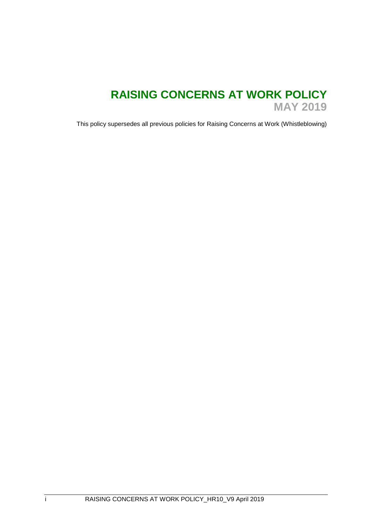# **RAISING CONCERNS AT WORK POLICY MAY 2019**

This policy supersedes all previous policies for Raising Concerns at Work (Whistleblowing)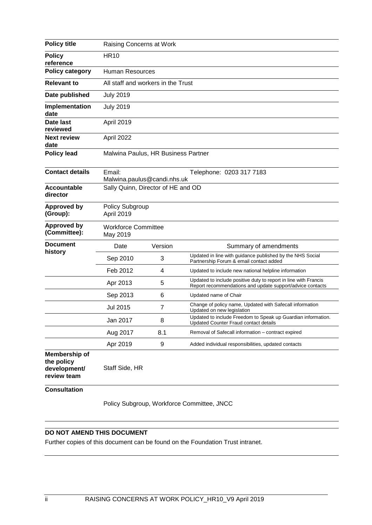| <b>Policy title</b>                                        | Raising Concerns at Work               |                                                         |                                                                                                                              |  |  |  |
|------------------------------------------------------------|----------------------------------------|---------------------------------------------------------|------------------------------------------------------------------------------------------------------------------------------|--|--|--|
| <b>Policy</b><br>reference                                 | <b>HR10</b>                            |                                                         |                                                                                                                              |  |  |  |
| <b>Policy category</b>                                     | Human Resources                        |                                                         |                                                                                                                              |  |  |  |
| <b>Relevant to</b>                                         |                                        | All staff and workers in the Trust                      |                                                                                                                              |  |  |  |
| Date published                                             | <b>July 2019</b>                       |                                                         |                                                                                                                              |  |  |  |
| Implementation<br>date                                     | <b>July 2019</b>                       |                                                         |                                                                                                                              |  |  |  |
| Date last<br>reviewed                                      | April 2019                             |                                                         |                                                                                                                              |  |  |  |
| <b>Next review</b><br>date                                 | April 2022                             |                                                         |                                                                                                                              |  |  |  |
| <b>Policy lead</b>                                         | Malwina Paulus, HR Business Partner    |                                                         |                                                                                                                              |  |  |  |
| <b>Contact details</b>                                     | Email:                                 | Telephone: 0203 317 7183<br>Malwina.paulus@candi.nhs.uk |                                                                                                                              |  |  |  |
| <b>Accountable</b><br>director                             | Sally Quinn, Director of HE and OD     |                                                         |                                                                                                                              |  |  |  |
| <b>Approved by</b><br>(Group):                             | Policy Subgroup<br>April 2019          |                                                         |                                                                                                                              |  |  |  |
| <b>Approved by</b><br>(Committee):                         | <b>Workforce Committee</b><br>May 2019 |                                                         |                                                                                                                              |  |  |  |
| <b>Document</b>                                            | Date                                   | Version                                                 | Summary of amendments                                                                                                        |  |  |  |
| history                                                    | Sep 2010                               | 3                                                       | Updated in line with guidance published by the NHS Social<br>Partnership Forum & email contact added                         |  |  |  |
|                                                            | Feb 2012                               | 4                                                       | Updated to include new national helpline information                                                                         |  |  |  |
|                                                            | Apr 2013                               | 5                                                       | Updated to include positive duty to report in line with Francis<br>Report recommendations and update support/advice contacts |  |  |  |
|                                                            | Sep 2013                               | 6                                                       | Updated name of Chair                                                                                                        |  |  |  |
|                                                            | <b>Jul 2015</b>                        | 7                                                       | Change of policy name, Updated with Safecall information<br>Updated on new legislation                                       |  |  |  |
|                                                            | Jan 2017                               | 8                                                       | Updated to include Freedom to Speak up Guardian information.<br>Updated Counter Fraud contact details                        |  |  |  |
|                                                            | Aug 2017                               | 8.1                                                     | Removal of Safecall information - contract expired                                                                           |  |  |  |
|                                                            | Apr 2019                               | 9                                                       | Added individual responsibilities, updated contacts                                                                          |  |  |  |
| Membership of<br>the policy<br>development/<br>review team | Staff Side, HR                         |                                                         |                                                                                                                              |  |  |  |
| <b>Consultation</b>                                        |                                        |                                                         |                                                                                                                              |  |  |  |

Policy Subgroup, Workforce Committee, JNCC

# **DO NOT AMEND THIS DOCUMENT**

Further copies of this document can be found on the Foundation Trust intranet.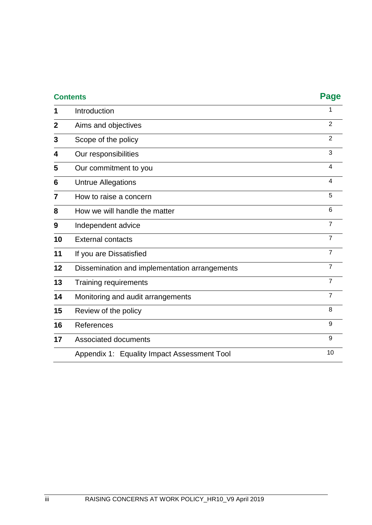| <b>Contents</b> |                                               | <b>Page</b>             |
|-----------------|-----------------------------------------------|-------------------------|
| 1               | Introduction                                  | 1                       |
| $\overline{2}$  | Aims and objectives                           | $\overline{2}$          |
| 3               | Scope of the policy                           | $\overline{2}$          |
| 4               | Our responsibilities                          | 3                       |
| 5               | Our commitment to you                         | $\overline{\mathbf{4}}$ |
| 6               | <b>Untrue Allegations</b>                     | $\overline{\mathbf{4}}$ |
| 7               | How to raise a concern                        | 5                       |
| 8               | How we will handle the matter                 | 6                       |
| 9               | Independent advice                            | $\overline{7}$          |
| 10              | <b>External contacts</b>                      | $\overline{7}$          |
| 11              | If you are Dissatisfied                       | $\overline{7}$          |
| 12              | Dissemination and implementation arrangements | $\overline{7}$          |
| 13              | Training requirements                         | $\overline{7}$          |
| 14              | Monitoring and audit arrangements             | $\overline{7}$          |
| 15              | Review of the policy                          | 8                       |
| 16              | References                                    | 9                       |
| 17              | Associated documents                          | 9                       |
|                 | Appendix 1: Equality Impact Assessment Tool   | 10                      |
|                 |                                               |                         |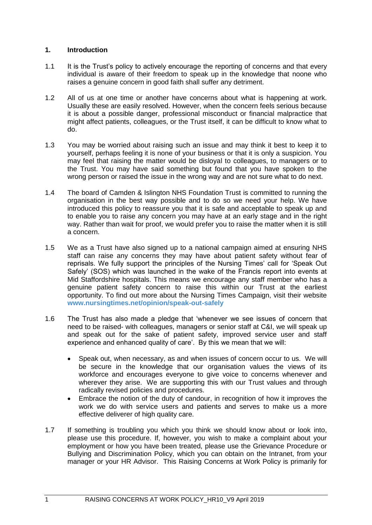# **1. Introduction**

- 1.1 It is the Trust's policy to actively encourage the reporting of concerns and that every individual is aware of their freedom to speak up in the knowledge that noone who raises a genuine concern in good faith shall suffer any detriment.
- 1.2 All of us at one time or another have concerns about what is happening at work. Usually these are easily resolved. However, when the concern feels serious because it is about a possible danger, professional misconduct or financial malpractice that might affect patients, colleagues, or the Trust itself, it can be difficult to know what to do.
- 1.3 You may be worried about raising such an issue and may think it best to keep it to yourself, perhaps feeling it is none of your business or that it is only a suspicion. You may feel that raising the matter would be disloyal to colleagues, to managers or to the Trust. You may have said something but found that you have spoken to the wrong person or raised the issue in the wrong way and are not sure what to do next.
- 1.4 The board of Camden & Islington NHS Foundation Trust is committed to running the organisation in the best way possible and to do so we need your help. We have introduced this policy to reassure you that it is safe and acceptable to speak up and to enable you to raise any concern you may have at an early stage and in the right way. Rather than wait for proof, we would prefer you to raise the matter when it is still a concern.
- 1.5 We as a Trust have also signed up to a national campaign aimed at ensuring NHS staff can raise any concerns they may have about patient safety without fear of reprisals. We fully support the principles of the Nursing Times' call for 'Speak Out Safely' (SOS) which was launched in the wake of the Francis report into events at Mid Staffordshire hospitals. This means we encourage any staff member who has a genuine patient safety concern to raise this within our Trust at the earliest opportunity. To find out more about the Nursing Times Campaign, visit their website **[www.nursingtimes.net/opinion/speak-out-safely](http://www.nursingtimes.net/opinion/speak-out-safely)**
- 1.6 The Trust has also made a pledge that 'whenever we see issues of concern that need to be raised- with colleagues, managers or senior staff at C&I, we will speak up and speak out for the sake of patient safety, improved service user and staff experience and enhanced quality of care'. By this we mean that we will:
	- Speak out, when necessary, as and when issues of concern occur to us. We will be secure in the knowledge that our organisation values the views of its workforce and encourages everyone to give voice to concerns whenever and wherever they arise. We are supporting this with our Trust values and through radically revised policies and procedures.
	- Embrace the notion of the duty of candour, in recognition of how it improves the work we do with service users and patients and serves to make us a more effective deliverer of high quality care.
- 1.7 If something is troubling you which you think we should know about or look into, please use this procedure. If, however, you wish to make a complaint about your employment or how you have been treated, please use the Grievance Procedure or Bullying and Discrimination Policy, which you can obtain on the Intranet, from your manager or your HR Advisor. This Raising Concerns at Work Policy is primarily for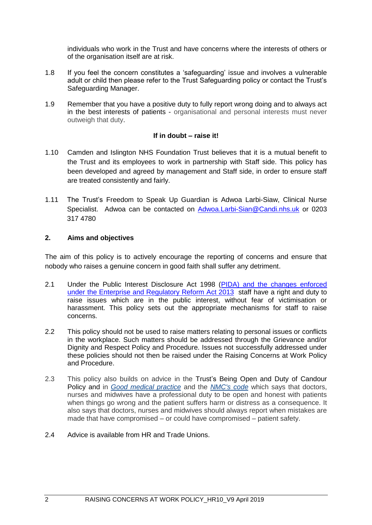individuals who work in the Trust and have concerns where the interests of others or of the organisation itself are at risk.

- 1.8 If you feel the concern constitutes a 'safeguarding' issue and involves a vulnerable adult or child then please refer to the Trust Safeguarding policy or contact the Trust's Safeguarding Manager.
- 1.9 Remember that you have a positive duty to fully report wrong doing and to always act in the best interests of patients - organisational and personal interests must never outweigh that duty.

# **If in doubt – raise it!**

- 1.10 Camden and Islington NHS Foundation Trust believes that it is a mutual benefit to the Trust and its employees to work in partnership with Staff side. This policy has been developed and agreed by management and Staff side, in order to ensure staff are treated consistently and fairly.
- 1.11 The Trust's Freedom to Speak Up Guardian is Adwoa Larbi-Siaw, Clinical Nurse Specialist. Adwoa can be contacted on [Adwoa.Larbi-Sian@Candi.nhs.uk](mailto:Adwoa.Larbi-Sian@Candi.nhs.uk) or 0203 317 4780

# **2. Aims and objectives**

The aim of this policy is to actively encourage the reporting of concerns and ensure that nobody who raises a genuine concern in good faith shall suffer any detriment.

- 2.1 Under the Public Interest Disclosure Act 1998 (PIDA) and the changes enforced [under the Enterprise and Regulatory Reform Act 2013](http://www.pcaw.org.uk/) staff have a right and duty to raise issues which are in the public interest, without fear of victimisation or harassment. This policy sets out the appropriate mechanisms for staff to raise concerns.
- 2.2 This policy should not be used to raise matters relating to personal issues or conflicts in the workplace. Such matters should be addressed through the Grievance and/or Dignity and Respect Policy and Procedure. Issues not successfully addressed under these policies should not then be raised under the Raising Concerns at Work Policy and Procedure.
- 2.3 This policy also builds on advice in the Trust's Being Open and Duty of Candour Policy and in *[Good medical practice](http://www.gmc-uk.org/guidance/good_medical_practice.asp)* and the *[NMC's code](http://www.nmc.org.uk/code)* which says that doctors, nurses and midwives have a professional duty to be open and honest with patients when things go wrong and the patient suffers harm or distress as a consequence. It also says that doctors, nurses and midwives should always report when mistakes are made that have compromised – or could have compromised – patient safety.
- 2.4 Advice is available from HR and Trade Unions.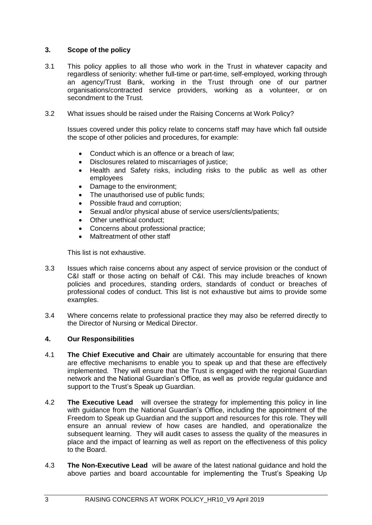# **3. Scope of the policy**

- 3.1 This policy applies to all those who work in the Trust in whatever capacity and regardless of seniority: whether full-time or part-time, self-employed, working through an agency/Trust Bank, working in the Trust through one of our partner organisations/contracted service providers, working as a volunteer, or on secondment to the Trust.
- 3.2 What issues should be raised under the Raising Concerns at Work Policy?

Issues covered under this policy relate to concerns staff may have which fall outside the scope of other policies and procedures, for example:

- Conduct which is an offence or a breach of law;
- Disclosures related to miscarriages of justice;
- Health and Safety risks, including risks to the public as well as other employees
- Damage to the environment;
- The unauthorised use of public funds;
- Possible fraud and corruption;
- Sexual and/or physical abuse of service users/clients/patients;
- Other unethical conduct;
- Concerns about professional practice:
- Maltreatment of other staff

This list is not exhaustive.

- 3.3 Issues which raise concerns about any aspect of service provision or the conduct of C&I staff or those acting on behalf of C&I. This may include breaches of known policies and procedures, standing orders, standards of conduct or breaches of professional codes of conduct. This list is not exhaustive but aims to provide some examples.
- 3.4 Where concerns relate to professional practice they may also be referred directly to the Director of Nursing or Medical Director.

# **4. Our Responsibilities**

- 4.1 **The Chief Executive and Chair** are ultimately accountable for ensuring that there are effective mechanisms to enable you to speak up and that these are effectively implemented. They will ensure that the Trust is engaged with the regional Guardian network and the National Guardian's Office, as well as provide regular guidance and support to the Trust's Speak up Guardian.
- 4.2 **The Executive Lead** will oversee the strategy for implementing this policy in line with guidance from the National Guardian's Office, including the appointment of the Freedom to Speak up Guardian and the support and resources for this role. They will ensure an annual review of how cases are handled, and operationalize the subsequent learning. They will audit cases to assess the quality of the measures in place and the impact of learning as well as report on the effectiveness of this policy to the Board.
- 4.3 **The Non-Executive Lead** will be aware of the latest national guidance and hold the above parties and board accountable for implementing the Trust's Speaking Up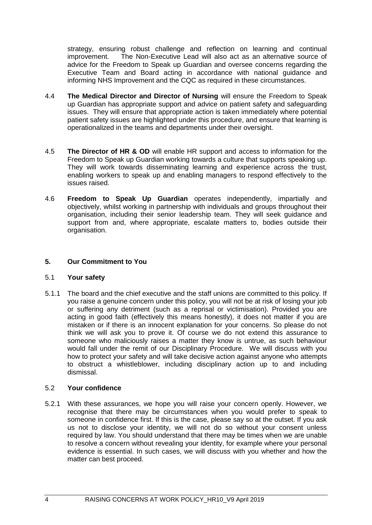strategy, ensuring robust challenge and reflection on learning and continual improvement. The Non-Executive Lead will also act as an alternative source of advice for the Freedom to Speak up Guardian and oversee concerns regarding the Executive Team and Board acting in accordance with national guidance and informing NHS Improvement and the CQC as required in these circumstances.

- 4.4 **The Medical Director and Director of Nursing** will ensure the Freedom to Speak up Guardian has appropriate support and advice on patient safety and safeguarding issues. They will ensure that appropriate action is taken immediately where potential patient safety issues are highlighted under this procedure, and ensure that learning is operationalized in the teams and departments under their oversight.
- 4.5 **The Director of HR & OD** will enable HR support and access to information for the Freedom to Speak up Guardian working towards a culture that supports speaking up. They will work towards disseminating learning and experience across the trust, enabling workers to speak up and enabling managers to respond effectively to the issues raised.
- 4.6 **Freedom to Speak Up Guardian** operates independently, impartially and objectively, whilst working in partnership with individuals and groups throughout their organisation, including their senior leadership team. They will seek guidance and support from and, where appropriate, escalate matters to, bodies outside their organisation.

# **5. Our Commitment to You**

# 5.1 **Your safety**

5.1.1 The board and the chief executive and the staff unions are committed to this policy. If you raise a genuine concern under this policy, you will not be at risk of losing your job or suffering any detriment (such as a reprisal or victimisation). Provided you are acting in good faith (effectively this means honestly), it does not matter if you are mistaken or if there is an innocent explanation for your concerns. So please do not think we will ask you to prove it. Of course we do not extend this assurance to someone who maliciously raises a matter they know is untrue, as such behaviour would fall under the remit of our Disciplinary Procedure. We will discuss with you how to protect your safety and will take decisive action against anyone who attempts to obstruct a whistleblower, including disciplinary action up to and including dismissal.

# 5.2 **Your confidence**

5.2.1 With these assurances, we hope you will raise your concern openly. However, we recognise that there may be circumstances when you would prefer to speak to someone in confidence first. If this is the case, please say so at the outset. If you ask us not to disclose your identity, we will not do so without your consent unless required by law. You should understand that there may be times when we are unable to resolve a concern without revealing your identity, for example where your personal evidence is essential. In such cases, we will discuss with you whether and how the matter can best proceed.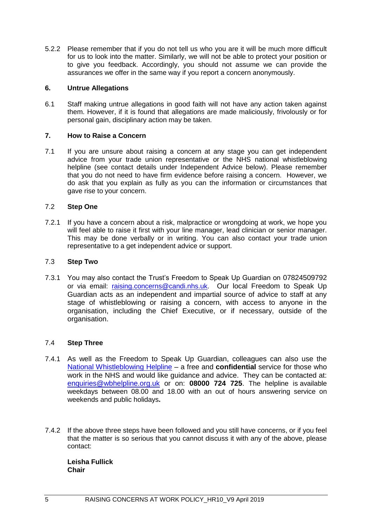5.2.2 Please remember that if you do not tell us who you are it will be much more difficult for us to look into the matter. Similarly, we will not be able to protect your position or to give you feedback. Accordingly, you should not assume we can provide the assurances we offer in the same way if you report a concern anonymously.

# **6. Untrue Allegations**

6.1 Staff making untrue allegations in good faith will not have any action taken against them. However, if it is found that allegations are made maliciously, frivolously or for personal gain, disciplinary action may be taken.

# **7. How to Raise a Concern**

7.1 If you are unsure about raising a concern at any stage you can get independent advice from your trade union representative or the NHS national whistleblowing helpline (see contact details under Independent Advice below). Please remember that you do not need to have firm evidence before raising a concern. However, we do ask that you explain as fully as you can the information or circumstances that gave rise to your concern.

# 7.2 **Step One**

7.2.1 If you have a concern about a risk, malpractice or wrongdoing at work, we hope you will feel able to raise it first with your line manager, lead clinician or senior manager. This may be done verbally or in writing. You can also contact your trade union representative to a get independent advice or support.

# 7.3 **Step Two**

7.3.1 You may also contact the Trust's Freedom to Speak Up Guardian on 07824509792 or via email: [raising.concerns@candi.nhs.uk.](mailto:raising.concerns@candi.nhs.uk) Our local Freedom to Speak Up Guardian acts as an independent and impartial source of advice to staff at any stage of whistleblowing or raising a concern, with access to anyone in the organisation, including the Chief Executive, or if necessary, outside of the organisation.

# 7.4 **Step Three**

- 7.4.1 As well as the Freedom to Speak Up Guardian, colleagues can also use the [National Whistleblowing Helpline](http://wbhelpline.org.uk/) – a free and **confidential** service for those who work in the NHS and would like guidance and advice. They can be contacted at: [enquiries@wbhelpline.org.uk](mailto:enquiries@wbhelpline.org.uk) or on: **08000 724 725**. The helpline is available weekdays between 08.00 and 18.00 with an out of hours answering service on weekends and public holidays**.**
- 7.4.2 If the above three steps have been followed and you still have concerns, or if you feel that the matter is so serious that you cannot discuss it with any of the above, please contact:

**Leisha Fullick Chair**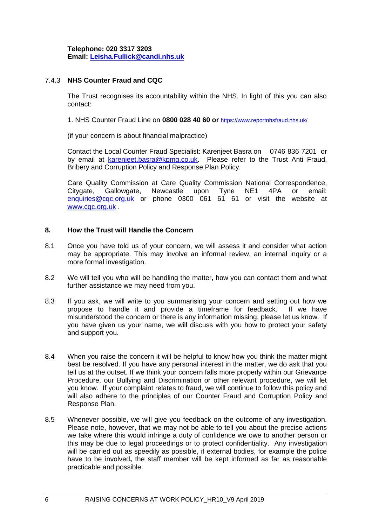**Telephone: 020 3317 3203 Email: [Leisha.Fullick@candi.nhs.uk](mailto:Leisha.Fullick@candi.nhs.uk)** 

# 7.4.3 **NHS Counter Fraud and CQC**

The Trust recognises its accountability within the NHS. In light of this you can also contact:

1. NHS Counter Fraud Line on **0800 028 40 60 or** <https://www.reportnhsfraud.nhs.uk/>

(if your concern is about financial malpractice)

Contact the Local Counter Fraud Specialist: Karenjeet Basra on 0746 836 7201 or by email at [karenjeet.basra@kpmg.co.uk.](mailto:karenjeet.basra@kpmg.co.uk) Please refer to the Trust Anti Fraud, Bribery and Corruption Policy and Response Plan Policy.

Care Quality Commission at Care Quality Commission National Correspondence, Citygate, Gallowgate, Newcastle upon Tyne NE1 4PA or email: [enquiries@cqc.org.uk](mailto:enquiries@cqc.org.uk) or phone 0300 061 61 61 or visit the website at [www.cqc.org.uk](http://www.cqc.org.uk/) .

# **8. How the Trust will Handle the Concern**

- 8.1 Once you have told us of your concern, we will assess it and consider what action may be appropriate. This may involve an informal review, an internal inquiry or a more formal investigation.
- 8.2 We will tell you who will be handling the matter, how you can contact them and what further assistance we may need from you.
- 8.3 If you ask, we will write to you summarising your concern and setting out how we propose to handle it and provide a timeframe for feedback. If we have misunderstood the concern or there is any information missing, please let us know. If you have given us your name, we will discuss with you how to protect your safety and support you.
- 8.4 When you raise the concern it will be helpful to know how you think the matter might best be resolved. If you have any personal interest in the matter, we do ask that you tell us at the outset. If we think your concern falls more properly within our Grievance Procedure, our Bullying and Discrimination or other relevant procedure, we will let you know. If your complaint relates to fraud, we will continue to follow this policy and will also adhere to the principles of our Counter Fraud and Corruption Policy and Response Plan.
- 8.5 Whenever possible, we will give you feedback on the outcome of any investigation. Please note, however, that we may not be able to tell you about the precise actions we take where this would infringe a duty of confidence we owe to another person or this may be due to legal proceedings or to protect confidentiality. Any investigation will be carried out as speedily as possible, if external bodies, for example the police have to be involved**,** the staff member will be kept informed as far as reasonable practicable and possible.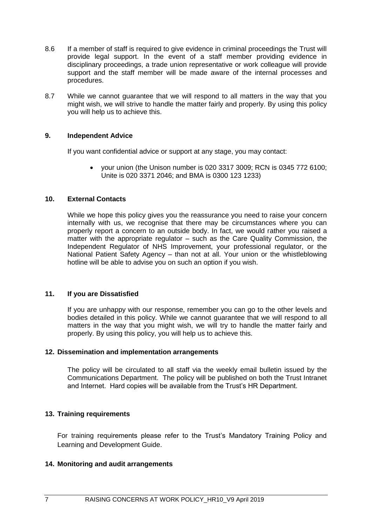- 8.6 If a member of staff is required to give evidence in criminal proceedings the Trust will provide legal support. In the event of a staff member providing evidence in disciplinary proceedings, a trade union representative or work colleague will provide support and the staff member will be made aware of the internal processes and procedures.
- 8.7 While we cannot guarantee that we will respond to all matters in the way that you might wish, we will strive to handle the matter fairly and properly. By using this policy you will help us to achieve this.

# **9. Independent Advice**

If you want confidential advice or support at any stage, you may contact:

 your union (the Unison number is 020 3317 3009; RCN is 0345 772 6100; Unite is 020 3371 2046; and BMA is 0300 123 1233)

# **10. External Contacts**

While we hope this policy gives you the reassurance you need to raise your concern internally with us, we recognise that there may be circumstances where you can properly report a concern to an outside body. In fact, we would rather you raised a matter with the appropriate regulator – such as the Care Quality Commission, the Independent Regulator of NHS Improvement, your professional regulator, or the National Patient Safety Agency – than not at all. Your union or the whistleblowing hotline will be able to advise you on such an option if you wish.

# **11. If you are Dissatisfied**

If you are unhappy with our response, remember you can go to the other levels and bodies detailed in this policy. While we cannot guarantee that we will respond to all matters in the way that you might wish, we will try to handle the matter fairly and properly. By using this policy, you will help us to achieve this.

#### **12. Dissemination and implementation arrangements**

The policy will be circulated to all staff via the weekly email bulletin issued by the Communications Department. The policy will be published on both the Trust Intranet and Internet. Hard copies will be available from the Trust's HR Department.

# **13. Training requirements**

For training requirements please refer to the Trust's Mandatory Training Policy and Learning and Development Guide.

#### **14. Monitoring and audit arrangements**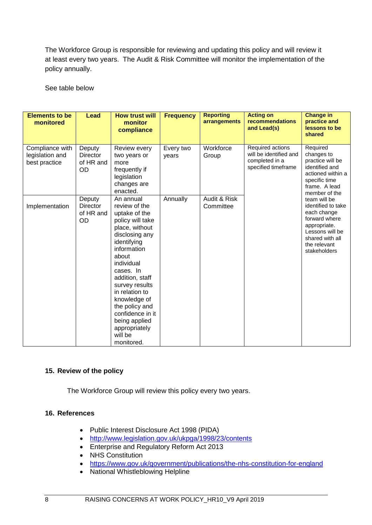The Workforce Group is responsible for reviewing and updating this policy and will review it at least every two years. The Audit & Risk Committee will monitor the implementation of the policy annually.

See table below

| <b>Elements to be</b><br>monitored                  | <b>Lead</b>                                  | <b>How trust will</b><br>monitor<br>compliance                                                                                                                                                                                                                                                                                                | <b>Frequency</b>   | <b>Reporting</b><br>arrangements | <b>Acting on</b><br>recommendations<br>and Lead(s)                                  | <b>Change in</b><br>practice and<br>lessons to be<br>shared                                                                                              |
|-----------------------------------------------------|----------------------------------------------|-----------------------------------------------------------------------------------------------------------------------------------------------------------------------------------------------------------------------------------------------------------------------------------------------------------------------------------------------|--------------------|----------------------------------|-------------------------------------------------------------------------------------|----------------------------------------------------------------------------------------------------------------------------------------------------------|
| Compliance with<br>legislation and<br>best practice | Deputy<br><b>Director</b><br>of HR and<br>OD | Review every<br>two years or<br>more<br>frequently if<br>legislation<br>changes are<br>enacted.                                                                                                                                                                                                                                               | Every two<br>years | Workforce<br>Group               | Required actions<br>will be identified and<br>completed in a<br>specified timeframe | Required<br>changes to<br>practice will be<br>identified and<br>actioned within a<br>specific time<br>frame. A lead<br>member of the                     |
| Implementation                                      | Deputy<br><b>Director</b><br>of HR and<br>OD | An annual<br>review of the<br>uptake of the<br>policy will take<br>place, without<br>disclosing any<br>identifying<br>information<br>about<br>individual<br>cases. In<br>addition, staff<br>survey results<br>in relation to<br>knowledge of<br>the policy and<br>confidence in it<br>being applied<br>appropriately<br>will be<br>monitored. | Annually           | Audit & Risk<br>Committee        |                                                                                     | team will be<br>identified to take<br>each change<br>forward where<br>appropriate.<br>Lessons will be<br>shared with all<br>the relevant<br>stakeholders |

# **15. Review of the policy**

The Workforce Group will review this policy every two years.

# **16. References**

- Public Interest Disclosure Act 1998 (PIDA)
- <http://www.legislation.gov.uk/ukpga/1998/23/contents>
- Enterprise and Regulatory Reform Act 2013
- NHS Constitution
- <https://www.gov.uk/government/publications/the-nhs-constitution-for-england>
- National Whistleblowing Helpline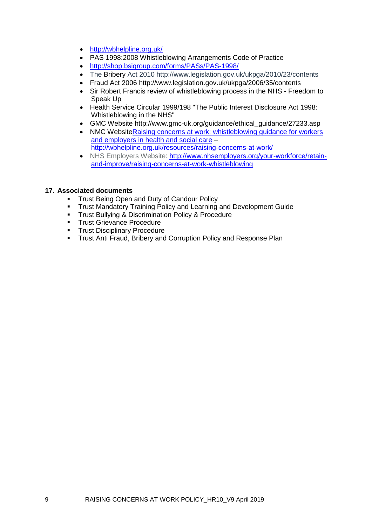- <http://wbhelpline.org.uk/>
- PAS 1998:2008 Whistleblowing Arrangements Code of Practice
- <http://shop.bsigroup.com/forms/PASs/PAS-1998/>
- The Bribery Act 2010 http://www.legislation.gov.uk/ukpga/2010/23/contents
- Fraud Act 2006 http://www.legislation.gov.uk/ukpga/2006/35/contents
- Sir Robert Francis review of whistleblowing process in the NHS Freedom to Speak Up
- Health Service Circular 1999/198 "The Public Interest Disclosure Act 1998: Whistleblowing in the NHS"
- GMC Website http://www.gmc-uk.org/guidance/ethical\_guidance/27233.asp
- NMC WebsiteRaising concerns at work: whistleblowing guidance for workers [and employers in health and social care](http://www.wbhelpline.org.uk/resources/raising-concerns-at-work/) – <http://wbhelpline.org.uk/resources/raising-concerns-at-work/>
- NHS Employers Website: [http://www.nhsemployers.org/your-workforce/retain](http://www.nhsemployers.org/your-workforce/retain-and-improve/raising-concerns-at-work-whistleblowing)[and-improve/raising-concerns-at-work-whistleblowing](http://www.nhsemployers.org/your-workforce/retain-and-improve/raising-concerns-at-work-whistleblowing)

# **17. Associated documents**

- **Trust Being Open and Duty of Candour Policy**
- Trust Mandatory Training Policy and Learning and Development Guide
- **Trust Bullying & Discrimination Policy & Procedure**
- **Trust Grievance Procedure**
- **Trust Disciplinary Procedure**
- **Trust Anti Fraud, Bribery and Corruption Policy and Response Plan**